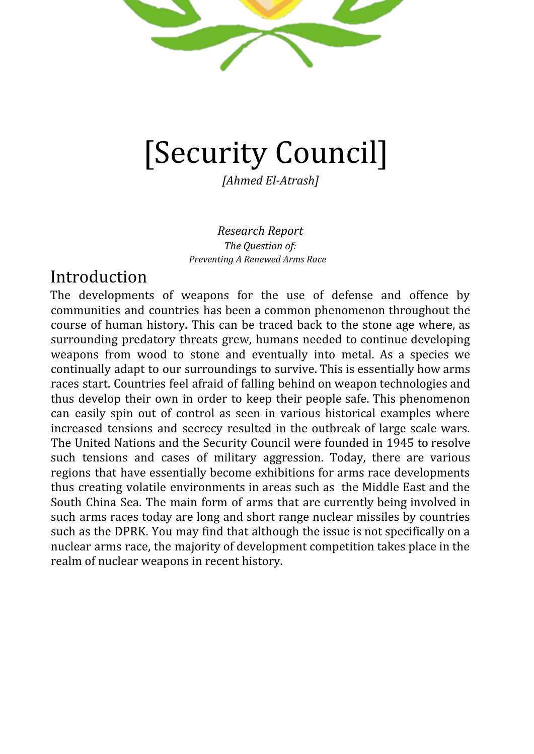

# [Security Council]

*[Ahmed El-Atrash]*

*Research Report The Question of: Preventing A Renewed Arms Race*

## Introduction

The developments of weapons for the use of defense and offence by communities and countries has been a common phenomenon throughout the course of human history. This can be traced back to the stone age where, as surrounding predatory threats grew, humans needed to continue developing weapons from wood to stone and eventually into metal. As a species we continually adapt to our surroundings to survive. This is essentially how arms races start. Countries feel afraid of falling behind on weapon technologies and thus develop their own in order to keep their people safe. This phenomenon can easily spin out of control as seen in various historical examples where increased tensions and secrecy resulted in the outbreak of large scale wars. The United Nations and the Security Council were founded in 1945 to resolve such tensions and cases of military aggression. Today, there are various regions that have essentially become exhibitions for arms race developments thus creating volatile environments in areas such as the Middle East and the South China Sea. The main form of arms that are currently being involved in such arms races today are long and short range nuclear missiles by countries such as the DPRK. You may find that although the issue is not specifically on a nuclear arms race, the majority of development competition takes place in the realm of nuclear weapons in recent history.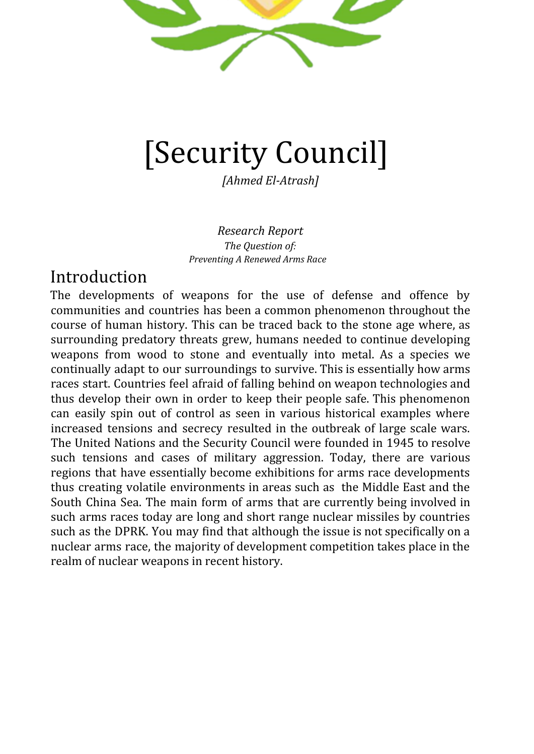Leiden Model United Nations 2019

*~ fresh ideas, new solutions ~*

# The Committee

The United Nations Security Council is a very special committee because of the binding nature of its resolutions. Nations are legally bound to adhere to resolutions that have passed. Furthermore, there are 5 permanent members who have a right to veto any clause or resolution leading to its immediate failure. There is also a rotating board of 10 other members who in this case are Belgium, Côte d'Ivoire, Dominican Republic, Equatorial Guinea, Germany, Indonesia, Kuwait, Peru, Poland, South Africa. Resolutions and amendments require 9 in favor votes in order to be passed. Because of the resolutions being binding, there are certain clause starters that are unique to the security council. Examples are Condemns and Declares.

# Key Terms

**Arms Race**- Competition between states in order to develop and produce increasing more and more powerful weapons in order to reach military superiority.

**ICBM-** Intercontinental Ballistic Missile. This is a long range guided missile that is able to travel at least 5500 kilometers. It is generally deployed in order to mobilize nuclear weapons and warheads

**Launch On Warning Policy-** Protocol installed in various missile defense systems that automatically releases a retaliation strike when an enemy missile threat is detected. This has the fatal flaw of false alarms and human error mistakes.

**Enriched Uranium-** Changing the chemical structure of naturally occurring Uranium to have a higher concentration of the Uranium-235 isotope which yields a greater nuclear power

**Nuclear Warhead-** explosive installment to a missile that makes use of a Fission chemical reaction in order to create impacts of approximately 500,000 Tons upon explosion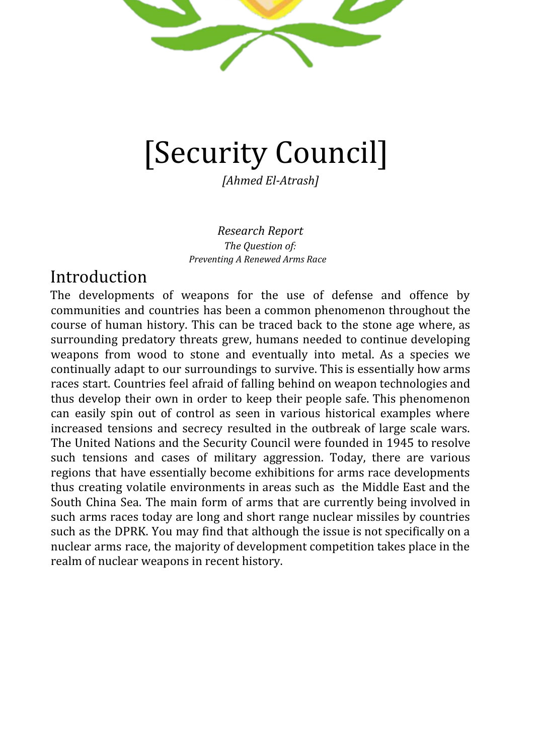Leiden Model United Nations 2019 *~ fresh ideas, new solutions ~*

## General Overview

Should agreements on weapons regulation include limitations on missile defense systems? During the implementation of the Anti-Ballistic Missile Treaty of 1972, this used to be the case. The agreement itself only considered regulations on strategic large scale missile defense systems but excluded national and local defense systems. This in turn allowed nations to defend their own interests and population while keeping international conflicts at bay. The idea of a large scale arms race was kept unlikely until the US withdrew from the treaty in 2002 and immediately began developing the size and capabilities of its military arsenal. Ever since the agreement fell apart the Russian Federation has kicked off a series of large scale series of advancements in the technology of its missile defense systems with a focus on their signature A-135 system for more international and long range situations. Russia has only recently began to develop its military systems on a more worldwide scale as it took a large military presence in Syria and various other regions in Iraq.

Global powers such as China and Russia have become deeply concerned by the US mobilization of missiles and weapons on a worldwide scale*.* An example of this is the "Third Site" programme set up by the US with the goal of developing military presence in the Czech Republic and Poland. This was seen by Russia as a threatening move that brought US attack capabilities closer to Russian Land. Diplomatic relations were on a high tension level and so the countries saw development of weapons as the only safekeeping measure when talks were not possible. This approach was neglected during the Obama term and was replaced by what came to be known as an "Adapted Phase Approach". This essentially involved separating the research and development of weapons from actual military use. This serves to slow down the rate at which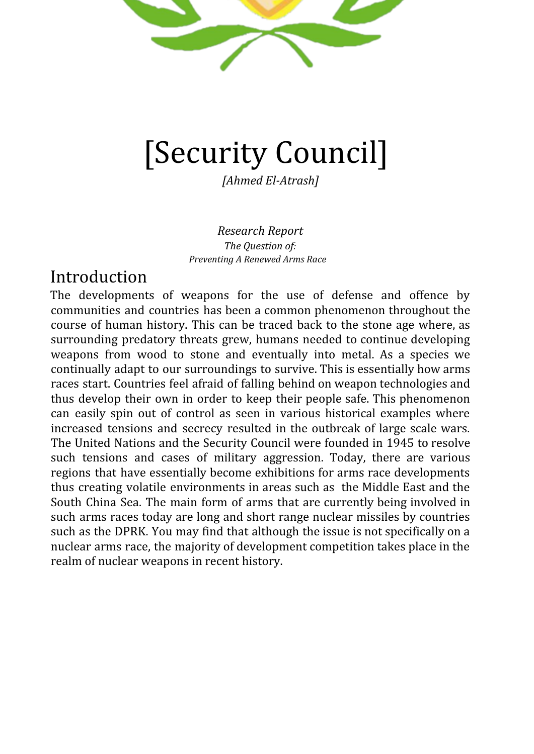#### Leiden Model United Nations 2019

*~ fresh ideas, new solutions ~*

new technologies are phased into destructive use while still allowing for sufficient defence and protection. The issue remains at the fact that global powers such as China and Russia are still skeptical about the authenticity of the US's peaceful strategy. A large group of NATO members have vocalized support for the idea of creating missile infrastructure to react to any aggression from Russia. Russia sees this as a direct threat to its security.

The United States has been preparing for the mobilization of a continental scale missile defense and offence system in the East Asia region. This would be with continued support from South Korea and Japan. This comes after a series of threats from China and the DPRK over territorial and political disputes over North Korean missile tests and Senkaku island conflicts. The defense framework involves battleships for offshore missile interception. Similar systems will be set up on the ground in Japan and South Korean land. The US has stated that this is purely for ensuring the safety of its troops in the Pacific region but China remains highly skeptical and will most likely begin deploying its own weapons in order to defend against those of the US. There have been various UN efforts to ensure the stability of the region. When nations feel threatened by the military presence of one another, an arms race is almost inevitable. These concerns must be addressed. While the most obvious arms developments have been traditional missile range improvement and nuclear strength development, a new form of arms race may soon ensue when nations feel particularly threatened by missiles. An outer space arms race would initially include the deployment of satellites that defend against missiles but these satellites can soon be developed to have the capability of performing their own large scale attacks. This is a direct threat to the integrity of various UN resolutions as well as the Outer Space treaty and should therefore be dealt with promptly.

Many ongoing conflicts such as in Libya and Syria clearly involve large amount of terrorist factions and rogue militias. An arms race involving exponential growth in weapon deployment and distribution to these regions could easily result in such weapons ending up in the hands of violent radicals and aggressors. This has been the case in Libya where various militias were found to be in possession of US and UAE short range ballistic missiles as well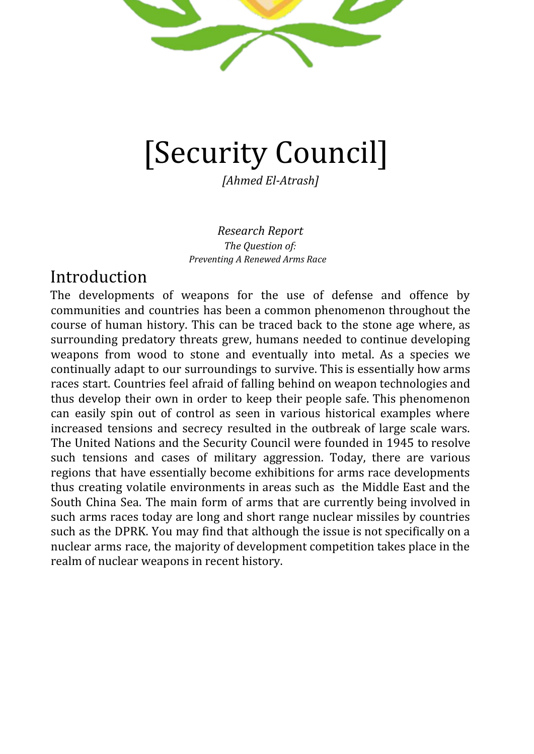Leiden Model United Nations 2019

*~ fresh ideas, new solutions ~*

as drones. The growing concern is that arms races are no longer contained between the countries developing the weapons but also other nations they have relations with due to the constant flow of weapons globally. This means that proxy wars in Libya, Syria and Yemen have become a Vice for global powers to test new weapons and showcase power. Experts in the field anticipate that the proxy war situation will act as a catalyst in a future arms race because it will be a means to directly deploy the weapons in the field. Nations will no longer have to speculate on the possible developments their rivals have. The developments will be directly shown in the battlefield.

There are many historical examples of arms races that must be understood in order to prevent new ones in the future. The most prominent example in recent history is the Cold War arms race between the Soviet Union and the United states. After the end of the second world war there was a scramble between the US and the USSR to install either democracy or communism into european and asian countries. This tension was complemented by the desire to perfect and develop the newly introduced superweapon that was the nuclear bomb. By 1986 the amount of nuclear warheads in the world had reached a historical record of 60,000. Propaganda on both sides led the public to believe that they were behind in strength compared to their rivals when that was not the case. This justified further expansion and eventually spiralled out of control.

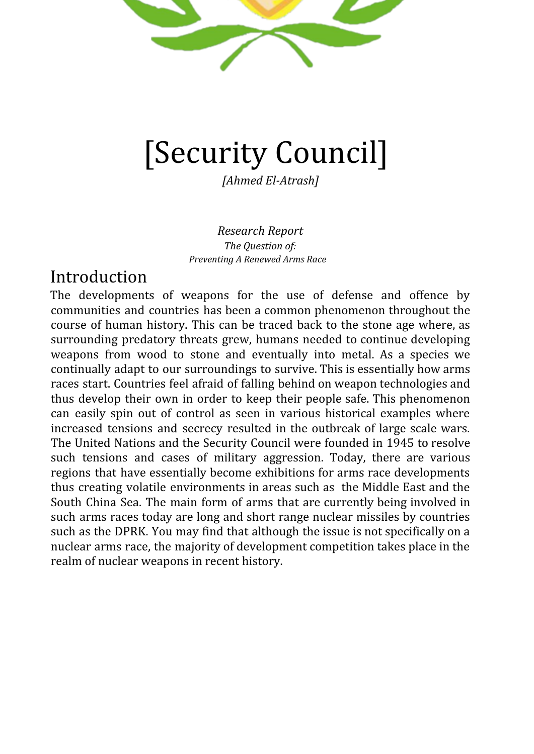Leiden Model United Nations 2019

*~ fresh ideas, new solutions ~*

The situation escalated to a point that the only real measure that could be taken was adopting the MAD protocol. This stood for the Mutual Assurance of Destruction which is where both the USSR and the US recognized that in the event of a nuclear strike both sides would launch a retaliatory attack for equal destruction. This put both countries on equal footing and helped get leaders on the negotiation table for placing limits on missiles. It was criticized for using the threat of destruction and war as a deterrent.

## Major Parties Involved

**USA-** The US spends close to \$1 Trillion annually on their military. This is equal to the sum of the other 9 countries with the highest military budgets in the world. The military budget has been on the rise since 2001 with the growth of the war on terror in the middle east and the war on drugs mainly domestically and on the mexican border. A lot of the budget is also allocated to military partners such as Japan and South Korea in order to maintain military superiority in the pacific region. The US assumes a role of international peace keeper and nuclear leader which is shown in their constant diplomatic approach in negotiating with aggressors and volatile states such as Iran and the DPRK. Agreements and treaties have not been very successful in the past year as the US pulled out of the Iran deal which previously put a successful halt on uranium enrichment. The US was also unable to reach an agreement with the DPRK on limiting the development of their long range intercontinental ballistic missiles.

**Russian Federation-** The fourth largest military spender in the world at approximately \$80 Billion annually and has the largest amount of nuclear warheads with 6500 which is equal to the amount the US has. Its main military growth activities have been increased active military presence in Syria and Ukraine. In Ukraine they have been supporting separatists and opposing the traditional government. In syria they have been very active in backing the assad regime and have set up various military bases in the region. They have been significantly more present than the US in Syria which has lead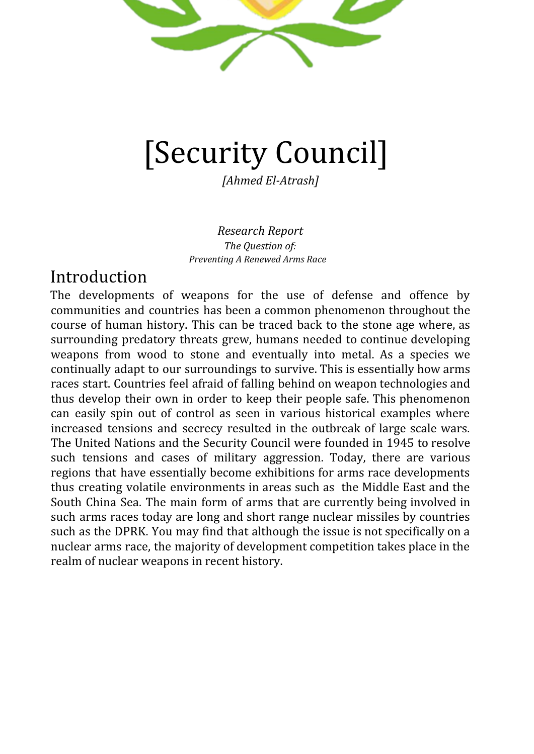Leiden Model United Nations 2019 *~ fresh ideas, new solutions ~*

to the international community to call for the US to oppose Russian aggression and support for the Assad dictatorship.

**China-** China has the second largest global military budget at approximately \$200 billion although the number could be much higher due to the lack of public statistics on growth. The biggest development militarily from China has been the militarization of various islands in the south china sea. Where China has been strategically been creating man made islands to militarize in order to increase military control over the disputed sea territory. They have taken aggressive approaches to fishermen in this region. Furthermore, along with the launch of the Belt and Road initiative where China plans to create an intricate trade and military network that mimics the historical silk road, China has been leasing ports from countries such as pakistan and militarizing them which has raised great concern from countries such as the US. The quick growth capability of the Chinese army and aggressive attitude towards regional conflicts has resulted in the US increasing its presence in the pacific region.

**Iran-** In order to maintain a certain degree of security in the volatile middle east region as well as with nuclear tensions between India and Pakistan, Iran set up its own nuclear programme and even managed to enrich some uranium. The Security Council P5 along with the European union created a regulatory and denuclearizing framework agreement for Iran which was signed in 2015. This deal included the regulations listed below:

- Limits enrichment to only one location (Natanz)
- Enrichment stations are to be converted into research and centrifuge development centers
- Frequent regulatory visits to monitor adherence
- Sanctions will be dropped by EU, UN and the Security Council
- Uranium stockpile must be decreased from 10,000 Kgs to 300 Kgs

Last year, Donald Trump and the United States pulled out of the deal as they believed it did not meet their standards. The rest of the signatories have continued to hold talks with Iran to Maintain the deal

**DPRK-** North Korea has been a hermit state that has been blocking itself off from diplomatic talks with global powers for years. During this time, their military strength has grown exponentially. US experts say that they may have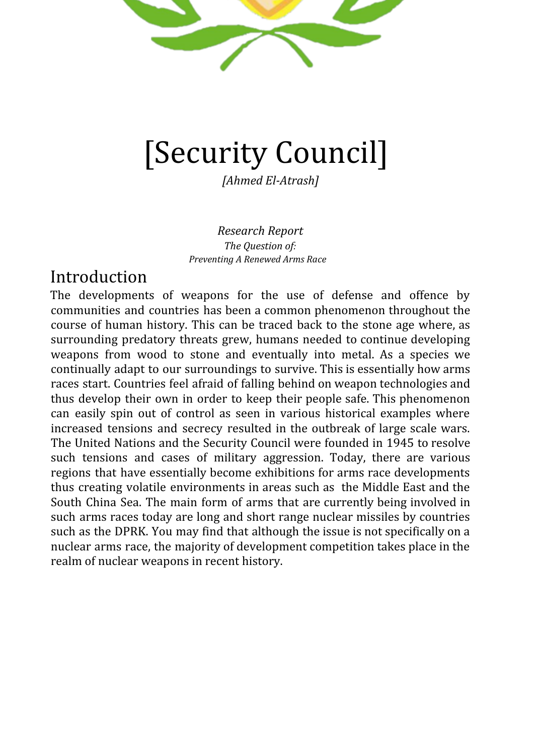Leiden Model United Nations 2019

*~ fresh ideas, new solutions ~*

between 30 to 60 nuclear warheads. The most worrying developments however have been in their missile testing programmes where they have significantly increased the range of their ICBMs which are believed to have the capability of reaching the mainland US. The US is still in a primary stage of diplomatic talks with no formal agreement as of now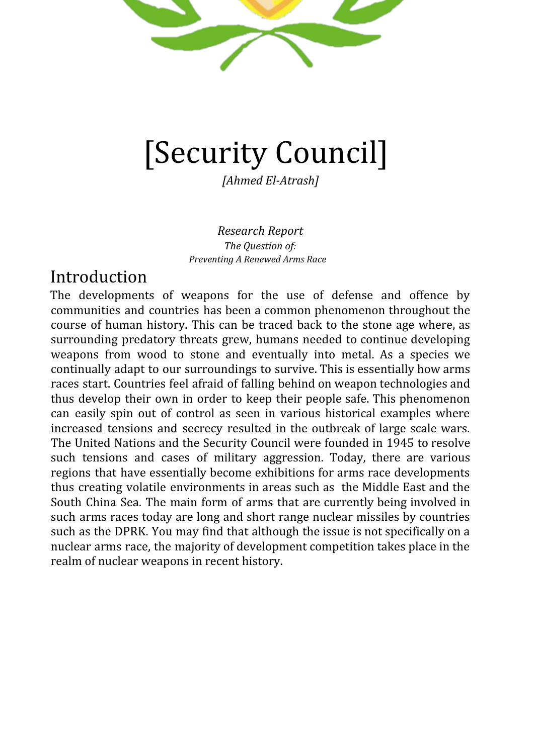Leiden Model United Nations 2019 *~ fresh ideas, new solutions ~*

## Timeline of Events

All Red Highlights are previous attempts to solve the issue

**1936-** Global powers begin ramping up weapons production in fears of war as a result of German aggression. This included competition to build the best tanks and submarines.

**1939-** Start of WW2 with the invasion of poland. Conscription had been introduced in allied and axis nations in order to compete with army size

**1945 -** The fall of Berlin as well as the two Nuclear bombs being dropped on Hiroshima and Nagasaki signalling the end of the war and the surrender of Japan.

**1946**- UN calls for the eradication of nuclear weapons. UN sets up a commission to help do so

**1949**- The Soviet Union performs its first successful Nuclear Test calling it the "First Lightning"

**1954**- US introduces and successfully tests its first Hydrogen bomb which is believed to be 500 times more powerful than the nuclear weapons used inNagasaki. Testing was further increased in the pacific ocean

**1959**- UN talks result in the banning of Nuclear tests in the Antarctic region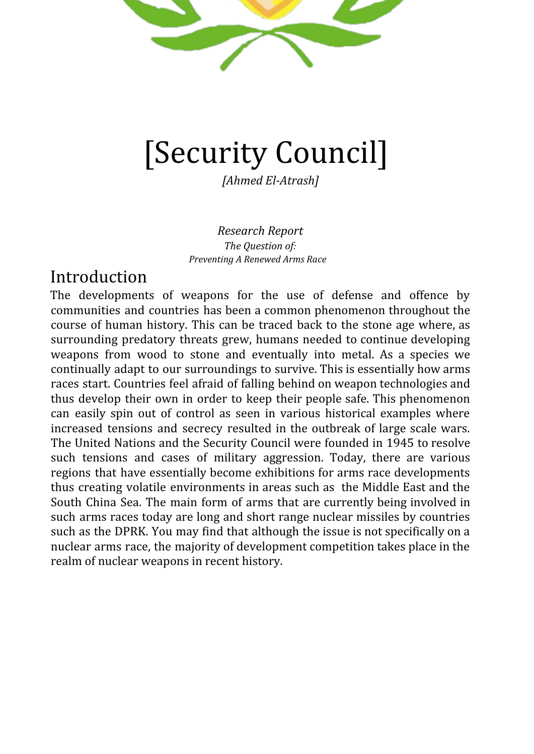## Leiden Model United Nations 2019

*~ fresh ideas, new solutions ~*

**1961**- Largest ever nuclear weapon test performed by the Soviet Union. It has a 58 megaton power and was nicknamed the tsar bomb

**1962**- Manifestation of an arms race conflict in the form of the Cuban Missile Crisis. This is where The US was concerned over USSR placement of warheads in Cuba. Ended by an agreement for the removal of weapons in cuba if the US removes its weapons from Turkey

**1963**- Partial Test ban treaty drafted. This aims to ban the testing of nuclear weapons under water, in the atmosphere and in space.

**1968**- Non-Proliferation Treaty is signed. This is where nations with nuclear weapons legally vow to disarm. Nations without nuclear weapons agree to not create any

**1986**- Israel's nuclear programme is exposed and they are believed to have around 200 warheads

**1987**- Mid-range missiles are banned in an agreement between the US and the USSR. Specifically focussed on land based missiles.

**1996**- Treaty for Total Nuclear Test ban is signed by all the P5 nations. This was facilitated by the United Nations but they are unable to convince India to sign.

**2006**- The DPRK performs its first full nuclear programme tests

**2007**- The International Campaign to Abolish Nuclear weapons is created with the aim of eradicating the development and use of nuclear weapons

**2017**- Nuclear Ban treaty is drafted and signed by ⅔ of nations. This was facilitated by the United Nations and went on to prohibit the use of Nuclear weapons. The deal also has clauses that bans states from possessing nuclear weapons and also prohibits threatening to use nuclear weapons.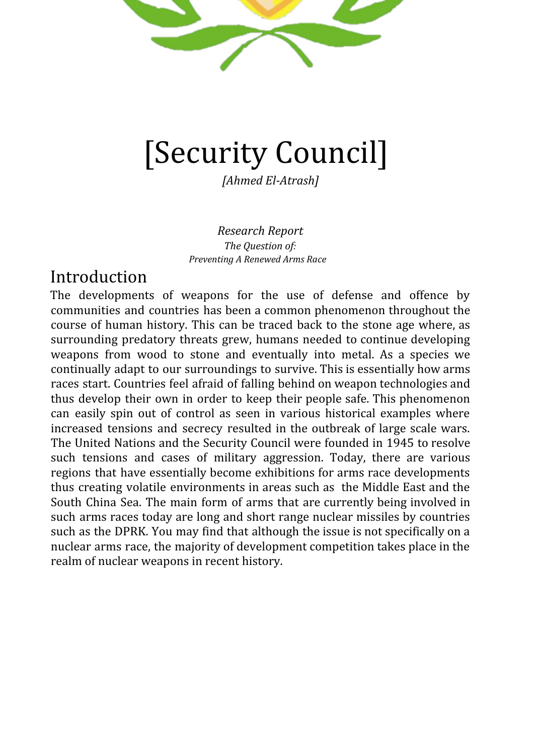Leiden Model United Nations 2019

*~ fresh ideas, new solutions ~*

# The Future

The future of preventing arms races currently lies in negotiations with aggressive volatile countries the main 2 being Iran and the DPRK. The main goal for iran talks is to make sure that the nuclear deal can be upheld without the involvement of the United States. On the other hand, global powers must find a way to make genuine progress in talks with the DPRK and move past informal talks. This has proven to be difficult because the DPRK has continued testing even during periods of talks between Donald Trump and Kim Jong Un.

# Questions a Resolution Must Answer (Q.A.R.M.A.)

- 1. How can we stop nations from being skeptical that their enemies are secretly developing weapons?
- 2. How can the house bring the US back in talks for the Iran deal?
- 3. If the US refuses to re enter talks, how can the remaining signatories ensure the success of the deal?
- 4. How can we stop proxy war situations from becoming catalysts for a future arms race
- 5. How can the house ensure that the DPRK is no longer a threat to neighbouring nations such as Japan and South Korea?
- 6. What are the consequences for nations that do not adhere to previous arms limitations treaties and agreements? How about future ones?

# Further Reading

<https://www.icanw.org/>

<https://www.rand.org/paf/projects/us-china-scorecard.html>

<https://ourworldindata.org/nuclear-weapons>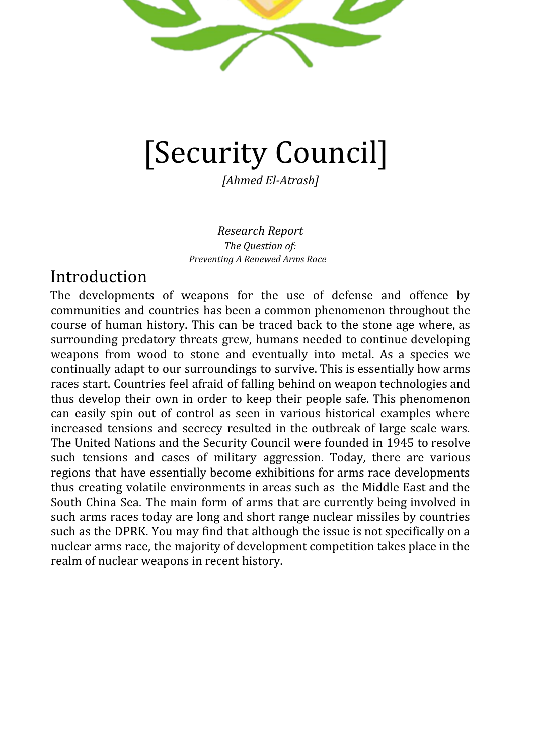Leiden Model United Nations 2019 *~ fresh ideas, new solutions ~*

## Bibliography

Amadeo, Kimberly. "Why Military Spending Is More Than You Think It Is." *The Balance*, The Balance, 22 Apr. 2019,

www.thebalance.com/u-s-military-budget-components-challenges-growth-3306320.

Amadeo, Kimberly. "Why Military Spending Is More Than You Think It Is." *The Balance*, The Balance,

22 Apr. 2019,

www.thebalance.com/u-s-military-budget-components-challenges-growth-3306320.

"Avoiding Renewed Arms Races." *Bulletin of the Atomic Scientists*,

thebulletin.org/roundtable\_entry/avoiding-renewed-arms-races/.

"Fearing New Atomic Arms Race, First Committee Delegates Call for International Law to Settle Missile Treaty Dispute between Nuclear‑Weapon States | Meetings Coverage and Press Releases." *United Nations*, United Nations, www.un.org/press/en/2018/gadis3607.doc.htm.

"An Interactive Look at the U.S.-China Military Scorecard." *RAND Corporation*,

www.rand.org/paf/projects/us-china-scorecard.html.

- "Nuclear Weapons Are as Confusing as They Are Deadly Here Are 16 Terms You Keep Hearing and What They Actually Mean." *Business Insider Nederland*, 22 July 2018, www.businessinsider.nl/nuclear-arms-deal-terminology-definitions-2018-7?international=tr ue&r=US.
- Pazzanese, Christina, and Christina Pazzanese. "Stirrings of a Renewed Nuclear Arms Race." *Harvard Gazette*, Harvard Gazette, 16 May 2019, news.harvard.edu/gazette/story/2018/03/stirrings-of-a-renewed-nuclear-arms-race/.

"The Soviet-American Arms Race." *History Today*,